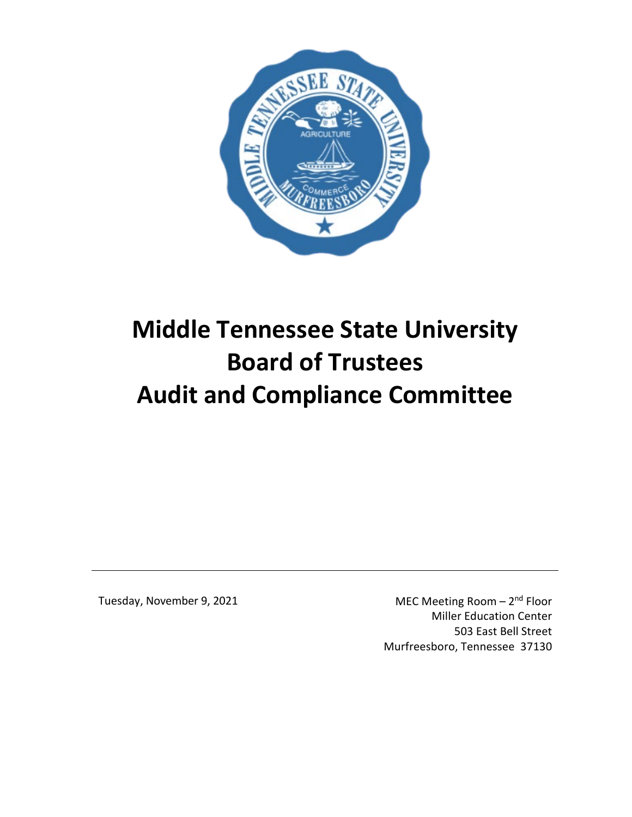

# **Middle Tennessee State University Board of Trustees Audit and Compliance Committee**

Tuesday, November 9, 2021 MEC Meeting Room – 2<sup>nd</sup> Floor Miller Education Center 503 East Bell Street Murfreesboro, Tennessee 37130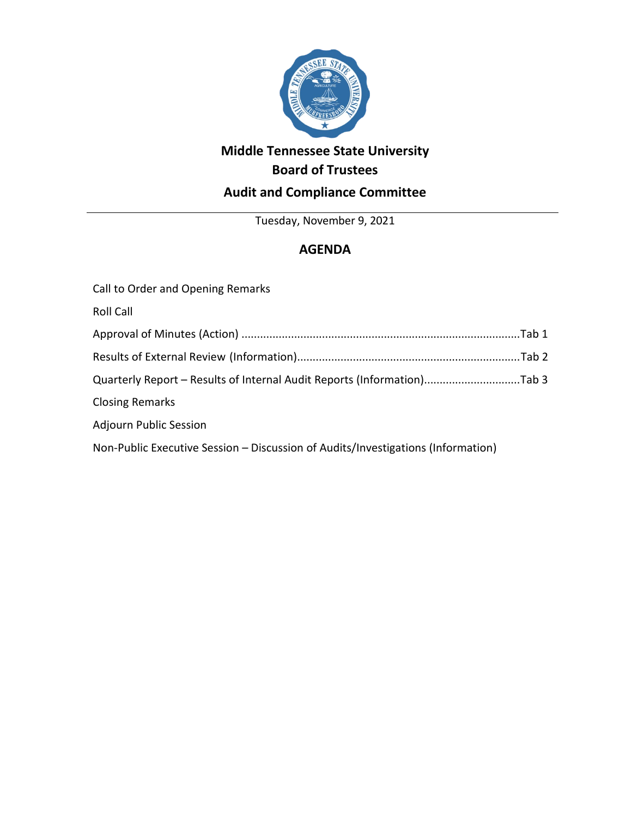

## **Audit and Compliance Committee**

Tuesday, November 9, 2021

## **AGENDA**

Roll Call

| Quarterly Report - Results of Internal Audit Reports (Information)Tab 3          |  |
|----------------------------------------------------------------------------------|--|
| <b>Closing Remarks</b>                                                           |  |
| <b>Adjourn Public Session</b>                                                    |  |
| Non-Public Executive Session – Discussion of Audits/Investigations (Information) |  |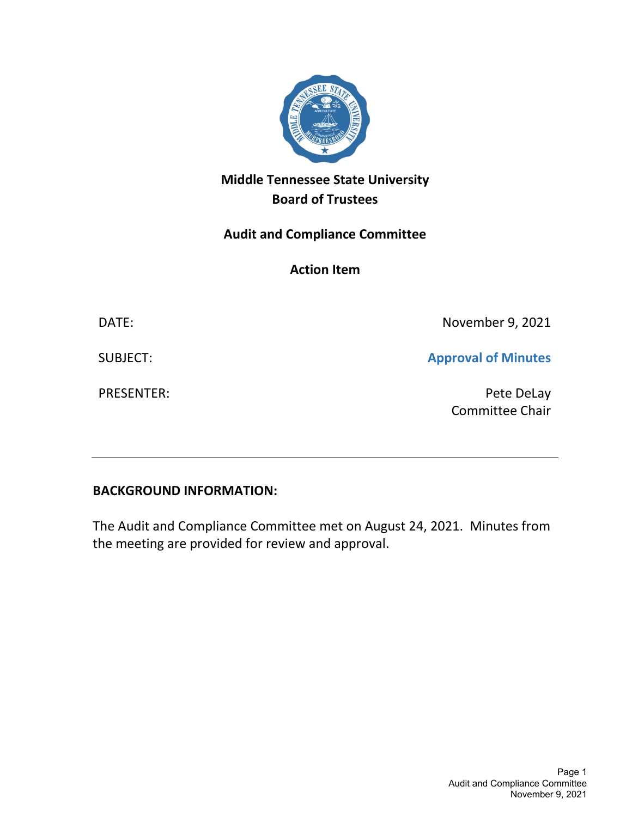

## **Audit and Compliance Committee**

## **Action Item**

DATE: November 9, 2021

SUBJECT: **Approval of Minutes**

PRESENTER: PRESENTER: Committee Chair

## **BACKGROUND INFORMATION:**

The Audit and Compliance Committee met on August 24, 2021. Minutes from the meeting are provided for review and approval.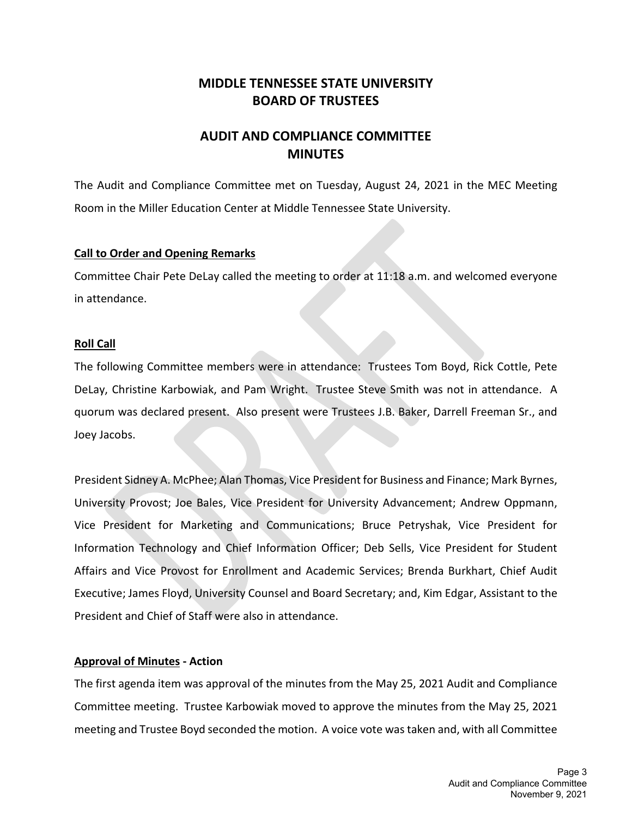## **MIDDLE TENNESSEE STATE UNIVERSITY BOARD OF TRUSTEES**

## **AUDIT AND COMPLIANCE COMMITTEE MINUTES**

The Audit and Compliance Committee met on Tuesday, August 24, 2021 in the MEC Meeting Room in the Miller Education Center at Middle Tennessee State University.

#### **Call to Order and Opening Remarks**

Committee Chair Pete DeLay called the meeting to order at 11:18 a.m. and welcomed everyone in attendance.

#### **Roll Call**

The following Committee members were in attendance: Trustees Tom Boyd, Rick Cottle, Pete DeLay, Christine Karbowiak, and Pam Wright. Trustee Steve Smith was not in attendance. A quorum was declared present. Also present were Trustees J.B. Baker, Darrell Freeman Sr., and Joey Jacobs.

President Sidney A. McPhee; Alan Thomas, Vice President for Business and Finance; Mark Byrnes, University Provost; Joe Bales, Vice President for University Advancement; Andrew Oppmann, Vice President for Marketing and Communications; Bruce Petryshak, Vice President for Information Technology and Chief Information Officer; Deb Sells, Vice President for Student Affairs and Vice Provost for Enrollment and Academic Services; Brenda Burkhart, Chief Audit Executive; James Floyd, University Counsel and Board Secretary; and, Kim Edgar, Assistant to the President and Chief of Staff were also in attendance.

#### **Approval of Minutes - Action**

The first agenda item was approval of the minutes from the May 25, 2021 Audit and Compliance Committee meeting. Trustee Karbowiak moved to approve the minutes from the May 25, 2021 meeting and Trustee Boyd seconded the motion. A voice vote was taken and, with all Committee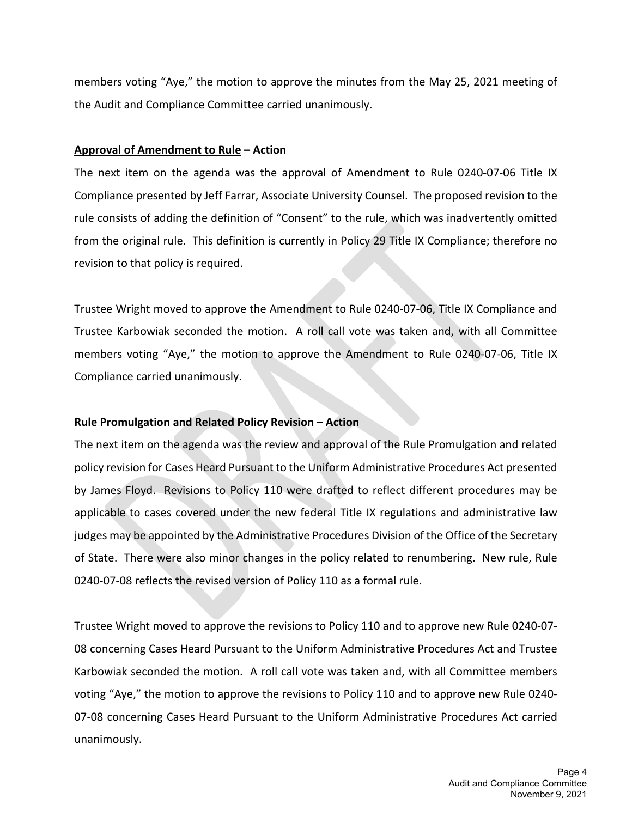members voting "Aye," the motion to approve the minutes from the May 25, 2021 meeting of the Audit and Compliance Committee carried unanimously.

#### **Approval of Amendment to Rule – Action**

The next item on the agenda was the approval of Amendment to Rule 0240-07-06 Title IX Compliance presented by Jeff Farrar, Associate University Counsel. The proposed revision to the rule consists of adding the definition of "Consent" to the rule, which was inadvertently omitted from the original rule. This definition is currently in Policy 29 Title IX Compliance; therefore no revision to that policy is required.

Trustee Wright moved to approve the Amendment to Rule 0240-07-06, Title IX Compliance and Trustee Karbowiak seconded the motion. A roll call vote was taken and, with all Committee members voting "Aye," the motion to approve the Amendment to Rule 0240-07-06, Title IX Compliance carried unanimously.

#### **Rule Promulgation and Related Policy Revision – Action**

The next item on the agenda was the review and approval of the Rule Promulgation and related policy revision for Cases Heard Pursuant to the Uniform Administrative Procedures Act presented by James Floyd. Revisions to Policy 110 were drafted to reflect different procedures may be applicable to cases covered under the new federal Title IX regulations and administrative law judges may be appointed by the Administrative Procedures Division of the Office of the Secretary of State. There were also minor changes in the policy related to renumbering. New rule, Rule 0240-07-08 reflects the revised version of Policy 110 as a formal rule.

Trustee Wright moved to approve the revisions to Policy 110 and to approve new Rule 0240-07- 08 concerning Cases Heard Pursuant to the Uniform Administrative Procedures Act and Trustee Karbowiak seconded the motion. A roll call vote was taken and, with all Committee members voting "Aye," the motion to approve the revisions to Policy 110 and to approve new Rule 0240- 07-08 concerning Cases Heard Pursuant to the Uniform Administrative Procedures Act carried unanimously.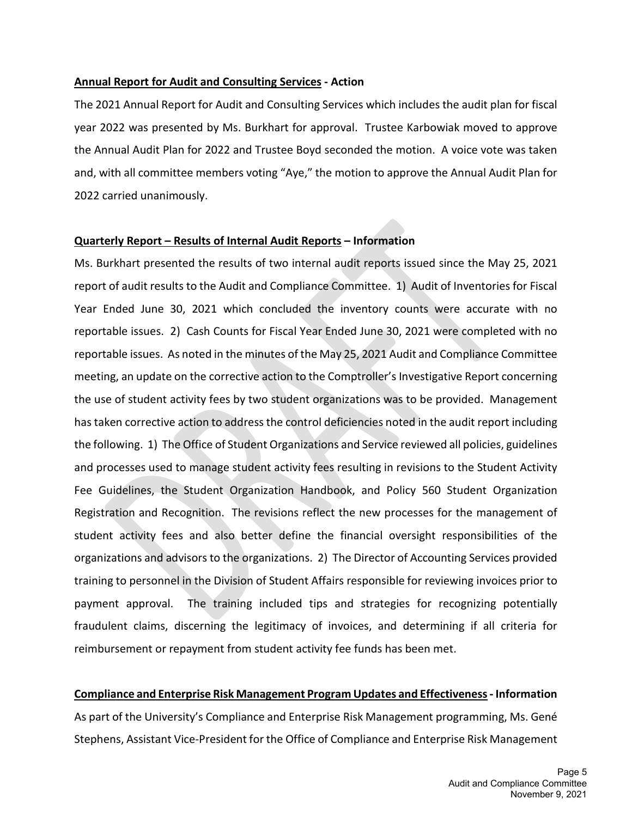#### **Annual Report for Audit and Consulting Services - Action**

The 2021 Annual Report for Audit and Consulting Services which includes the audit plan for fiscal year 2022 was presented by Ms. Burkhart for approval. Trustee Karbowiak moved to approve the Annual Audit Plan for 2022 and Trustee Boyd seconded the motion. A voice vote was taken and, with all committee members voting "Aye," the motion to approve the Annual Audit Plan for 2022 carried unanimously.

#### **Quarterly Report – Results of Internal Audit Reports – Information**

Ms. Burkhart presented the results of two internal audit reports issued since the May 25, 2021 report of audit results to the Audit and Compliance Committee. 1) Audit of Inventories for Fiscal Year Ended June 30, 2021 which concluded the inventory counts were accurate with no reportable issues. 2) Cash Counts for Fiscal Year Ended June 30, 2021 were completed with no reportable issues. As noted in the minutes of the May 25, 2021 Audit and Compliance Committee meeting, an update on the corrective action to the Comptroller's Investigative Report concerning the use of student activity fees by two student organizations was to be provided. Management has taken corrective action to address the control deficiencies noted in the audit report including the following. 1) The Office of Student Organizations and Service reviewed all policies, guidelines and processes used to manage student activity fees resulting in revisions to the Student Activity Fee Guidelines, the Student Organization Handbook, and Policy 560 Student Organization Registration and Recognition. The revisions reflect the new processes for the management of student activity fees and also better define the financial oversight responsibilities of the organizations and advisors to the organizations. 2) The Director of Accounting Services provided training to personnel in the Division of Student Affairs responsible for reviewing invoices prior to payment approval. The training included tips and strategies for recognizing potentially fraudulent claims, discerning the legitimacy of invoices, and determining if all criteria for reimbursement or repayment from student activity fee funds has been met.

#### **Compliance and Enterprise Risk Management Program Updates and Effectiveness - Information**

As part of the University's Compliance and Enterprise Risk Management programming, Ms. Gené Stephens, Assistant Vice-President for the Office of Compliance and Enterprise Risk Management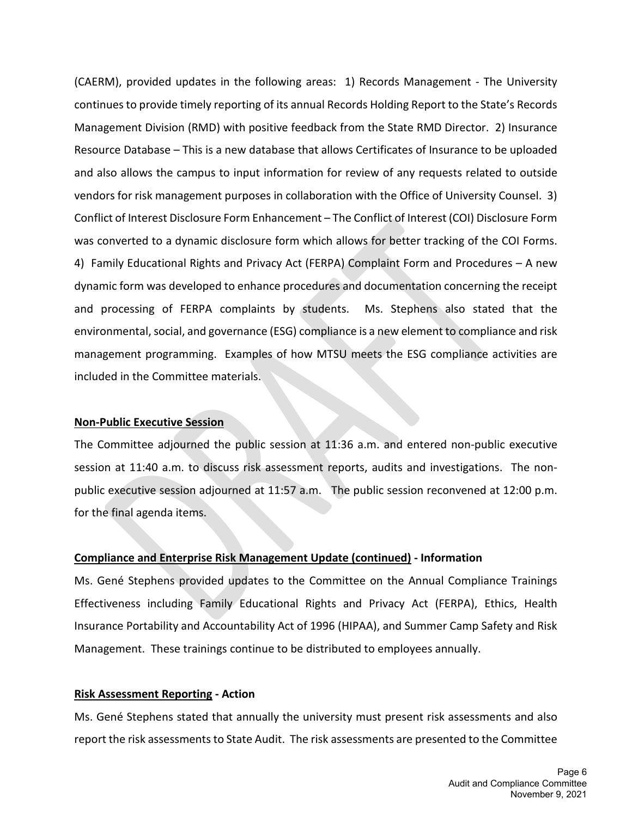(CAERM), provided updates in the following areas: 1) Records Management - The University continues to provide timely reporting of its annual Records Holding Report to the State's Records Management Division (RMD) with positive feedback from the State RMD Director. 2) Insurance Resource Database – This is a new database that allows Certificates of Insurance to be uploaded and also allows the campus to input information for review of any requests related to outside vendors for risk management purposes in collaboration with the Office of University Counsel. 3) Conflict of Interest Disclosure Form Enhancement – The Conflict of Interest (COI) Disclosure Form was converted to a dynamic disclosure form which allows for better tracking of the COI Forms. 4) Family Educational Rights and Privacy Act (FERPA) Complaint Form and Procedures – A new dynamic form was developed to enhance procedures and documentation concerning the receipt and processing of FERPA complaints by students. Ms. Stephens also stated that the environmental, social, and governance (ESG) compliance is a new element to compliance and risk management programming. Examples of how MTSU meets the ESG compliance activities are included in the Committee materials.

#### **Non-Public Executive Session**

The Committee adjourned the public session at 11:36 a.m. and entered non-public executive session at 11:40 a.m. to discuss risk assessment reports, audits and investigations. The nonpublic executive session adjourned at 11:57 a.m. The public session reconvened at 12:00 p.m. for the final agenda items.

#### **Compliance and Enterprise Risk Management Update (continued) - Information**

Ms. Gené Stephens provided updates to the Committee on the Annual Compliance Trainings Effectiveness including Family Educational Rights and Privacy Act (FERPA), Ethics, Health Insurance Portability and Accountability Act of 1996 (HIPAA), and Summer Camp Safety and Risk Management. These trainings continue to be distributed to employees annually.

#### **Risk Assessment Reporting - Action**

Ms. Gené Stephens stated that annually the university must present risk assessments and also report the risk assessments to State Audit. The risk assessments are presented to the Committee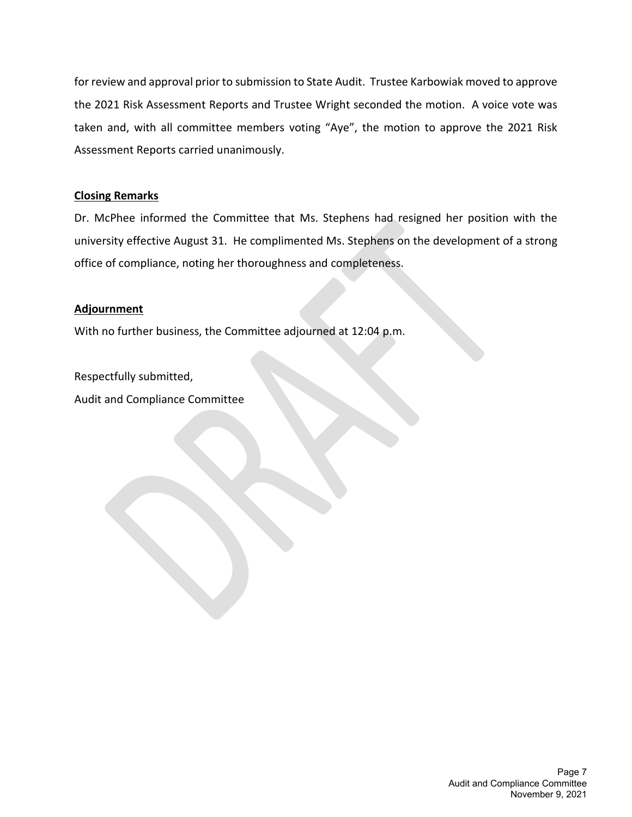for review and approval prior to submission to State Audit. Trustee Karbowiak moved to approve the 2021 Risk Assessment Reports and Trustee Wright seconded the motion. A voice vote was taken and, with all committee members voting "Aye", the motion to approve the 2021 Risk Assessment Reports carried unanimously.

#### **Closing Remarks**

Dr. McPhee informed the Committee that Ms. Stephens had resigned her position with the university effective August 31. He complimented Ms. Stephens on the development of a strong office of compliance, noting her thoroughness and completeness.

#### **Adjournment**

With no further business, the Committee adjourned at 12:04 p.m.

Respectfully submitted,

Audit and Compliance Committee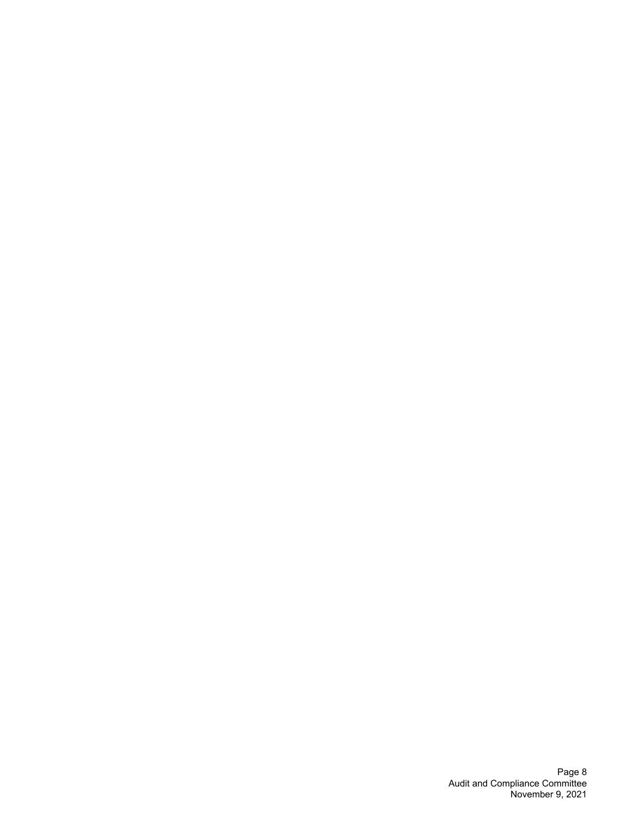Page 8 Audit and Compliance Committee November 9, 2021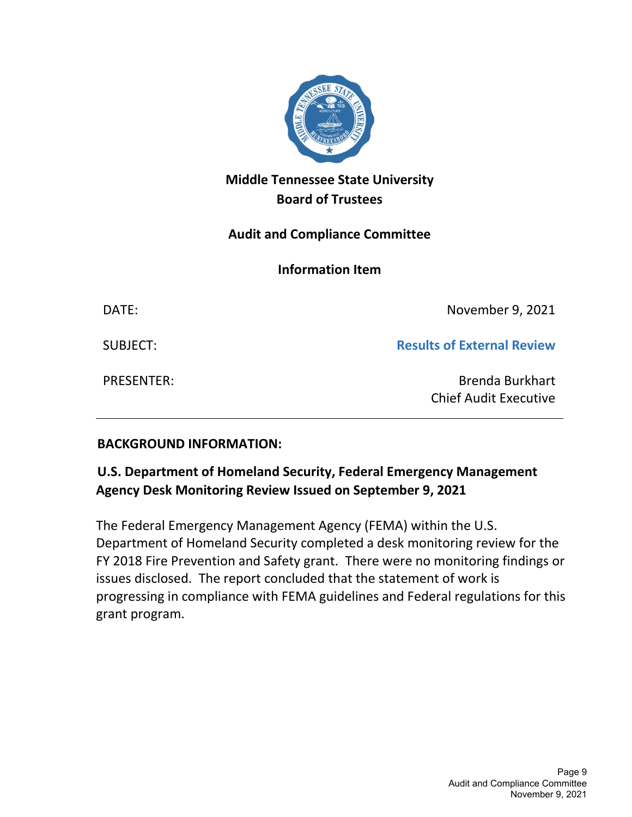

## **Audit and Compliance Committee**

## **Information Item**

| DATE:      | November 9, 2021                                |
|------------|-------------------------------------------------|
| SUBJECT:   | <b>Results of External Review</b>               |
| PRESENTER: | Brenda Burkhart<br><b>Chief Audit Executive</b> |

## **BACKGROUND INFORMATION:**

## **U.S. Department of Homeland Security, Federal Emergency Management Agency Desk Monitoring Review Issued on September 9, 2021**

The Federal Emergency Management Agency (FEMA) within the U.S. Department of Homeland Security completed a desk monitoring review for the FY 2018 Fire Prevention and Safety grant. There were no monitoring findings or issues disclosed. The report concluded that the statement of work is progressing in compliance with FEMA guidelines and Federal regulations for this grant program.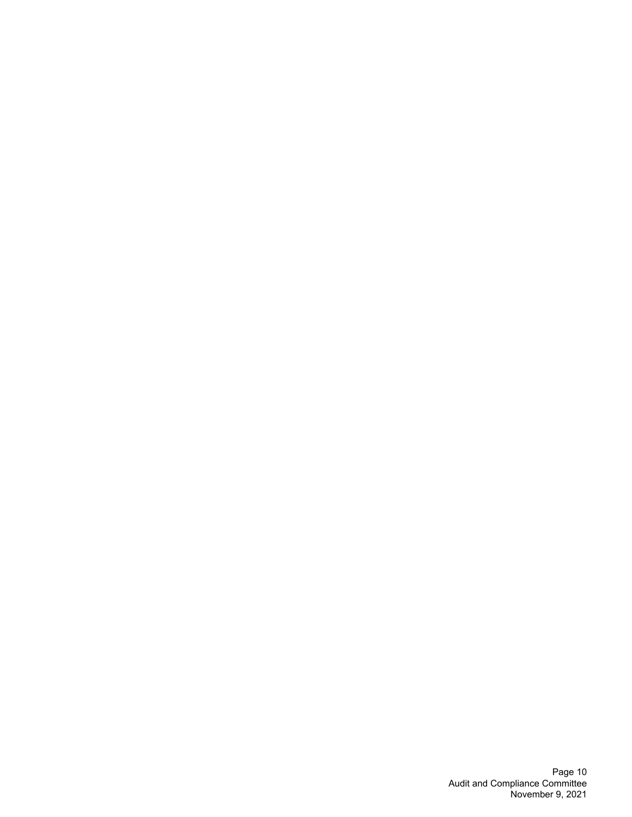Page 10 Audit and Compliance Committee November 9, 2021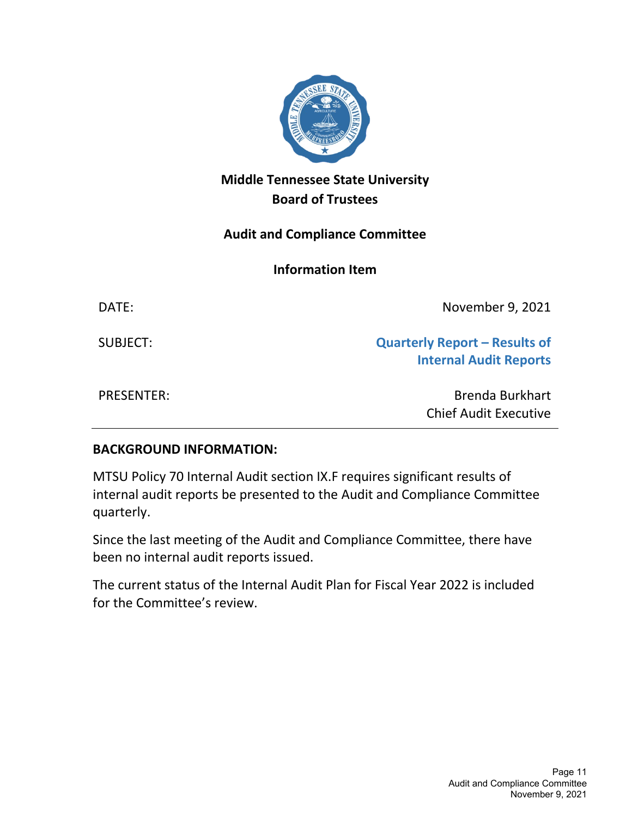

## **Audit and Compliance Committee**

## **Information Item**

| DATE:             | November 9, 2021                                                      |
|-------------------|-----------------------------------------------------------------------|
| SUBJECT:          | <b>Quarterly Report – Results of</b><br><b>Internal Audit Reports</b> |
| <b>PRESENTER:</b> | <b>Brenda Burkhart</b><br><b>Chief Audit Executive</b>                |

## **BACKGROUND INFORMATION:**

MTSU Policy 70 Internal Audit section IX.F requires significant results of internal audit reports be presented to the Audit and Compliance Committee quarterly.

Since the last meeting of the Audit and Compliance Committee, there have been no internal audit reports issued.

The current status of the Internal Audit Plan for Fiscal Year 2022 is included for the Committee's review.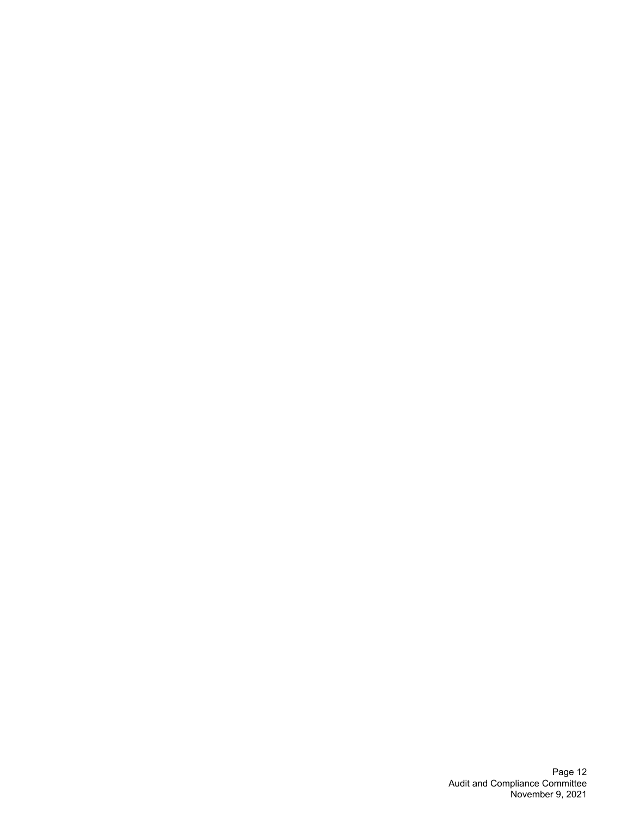Page 12 Audit and Compliance Committee November 9, 2021